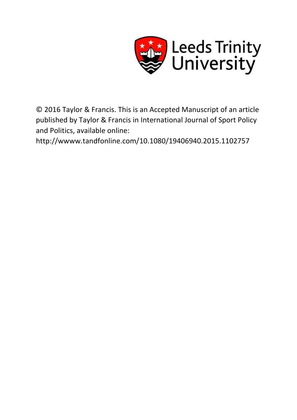

© 2016 Taylor & Francis. This is an Accepted Manuscript of an article published by Taylor & Francis in International Journal of Sport Policy and Politics, available online:

http://wwww.tandfonline.com/10.1080/19406940.2015.1102757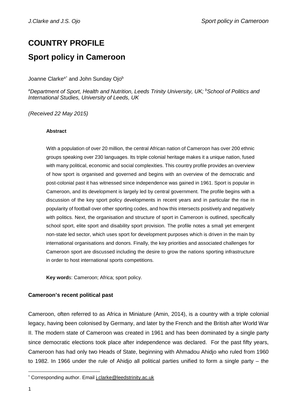# **COUNTRY PROFILE Sport policy in Cameroon**

Joanne Clarke<sup>a[\\*](#page-1-0)</sup> and John Sunday Ojo<sup>b</sup>

*a Department of Sport, Health and Nutrition, Leeds Trinity University, UK; <sup>b</sup> School of Politics and International Studies, University of Leeds, UK*

*(Received 22 May 2015)*

### **Abstract**

With a population of over 20 million, the central African nation of Cameroon has over 200 ethnic groups speaking over 230 languages. Its triple colonial heritage makes it a unique nation, fused with many political, economic and social complexities. This country profile provides an overview of how sport is organised and governed and begins with an overview of the democratic and post-colonial past it has witnessed since independence was gained in 1961. Sport is popular in Cameroon, and its development is largely led by central government. The profile begins with a discussion of the key sport policy developments in recent years and in particular the rise in popularity of football over other sporting codes, and how this intersects positively and negatively with politics. Next, the organisation and structure of sport in Cameroon is outlined, specifically school sport, elite sport and disability sport provision. The profile notes a small yet emergent non-state led sector, which uses sport for development purposes which is driven in the main by international organisations and donors. Finally, the key priorities and associated challenges for Cameroon sport are discussed including the desire to grow the nations sporting infrastructure in order to host international sports competitions.

**Key word**s: Cameroon; Africa; sport policy.

### **Cameroon's recent political past**

Cameroon, often referred to as Africa in Miniature (Amin, 2014), is a country with a triple colonial legacy, having been colonised by Germany, and later by the French and the British after World War II. The modern state of Cameroon was created in 1961 and has been dominated by a single party since democratic elections took place after independence was declared. For the past fifty years, Cameroon has had only two Heads of State, beginning with Ahmadou Ahidjo who ruled from 1960 to 1982. In 1966 under the rule of Ahidjo all political parties unified to form a single party – the

<span id="page-1-0"></span> <sup>\*</sup> Corresponding author. Email [j.clarke@leedstrinity.ac.uk](mailto:j.clarke@leedstrinity.ac.uk)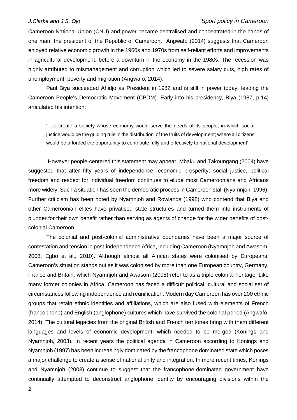Cameroon National Union (CNU) and power became centralised and concentrated in the hands of one man, the president of the Republic of Cameroon. Angwafo (2014) suggests that Cameroon enjoyed relative economic growth in the 1960s and 1970s from self-reliant efforts and improvements in agricultural development, before a downturn in the economy in the 1980s. The recession was highly attributed to mismanagement and corruption which led to severe salary cuts, high rates of unemployment, poverty and migration (Angwafo, 2014).

Paul Biya succeeded Ahidjo as President in 1982 and is still in power today, leading the Cameroon People's Democratic Movement (CPDM). Early into his presidency, Biya (1987, p.14) articulated his intention;

'…to create a society whose economy would serve the needs of its people, in which social justice would be the guiding rule in the distribution of the fruits of development; where all citizens would be afforded the opportunity to contribute fully and effectively to national development'.

However people-centered this statement may appear, Mbaku and Takoungang (2004) have suggested that after fifty years of independence; economic prosperity, social justice, political freedom and respect for individual freedom continues to elude most Cameroonians and Africans more widely. Such a situation has seen the democratic process in Cameroon stall (Nyamnjoh, 1996). Further criticism has been noted by Nyamnjoh and Rowlands (1998) who contend that Biya and other Cameroonian elites have privatised state structures and turned them into instruments of plunder for their own benefit rather than serving as agents of change for the wider benefits of postcolonial Cameroon.

The colonial and post-colonial administrative boundaries have been a major source of contestation and tension in post-independence Africa, including Cameroon (Nyamnjoh and Awasom, 2008, Egbo et al., 2010). Although almost all African states were colonised by Europeans, Cameroon's situation stands out as it was colonised by more than one European country, Germany, France and Britain, which Nyamnjoh and Awasom (2008) refer to as a triple colonial heritage. Like many former colonies in Africa, Cameroon has faced a difficult political, cultural and social set of circumstances following independence and reunification. Modern day Cameroon has over 200 ethnic groups that retain ethnic identities and affiliations, which are also fused with elements of French (francophone) and English (anglophone) cultures which have survived the colonial period (Angwafo, 2014). The cultural legacies from the original British and French territories bring with them different languages and levels of economic development, which needed to be merged (Konings and Nyamnjoh, 2003). In recent years the political agenda in Cameroon according to Konings and Nyamnjoh (1997) has been increasingly dominated by the francophone dominated state which poses a major challenge to create a sense of national unity and integration. In more recent times, Konings and Nyamnjoh (2003) continue to suggest that the francophone-dominated government have continually attempted to deconstruct anglophone identity by encouraging divisions within the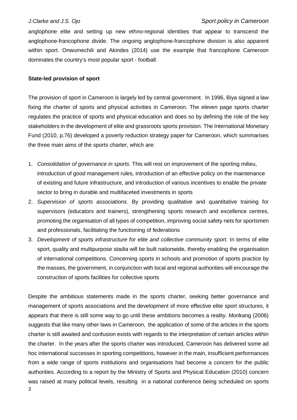anglophone elite and setting up new ethno-regional identities that appear to transcend the anglophone-francophone divide. The ongoing anglophone-francophone division is also apparent within sport. Onwumechili and Akindes (2014) use the example that francophone Cameroon dominates the country's most popular sport - football.

### **State-led provision of sport**

The provision of sport in Cameroon is largely led by central government. In 1996, Biya signed a law fixing the charter of sports and physical activities in Cameroon. The eleven page sports charter regulates the practice of sports and physical education and does so by defining the role of the key stakeholders in the development of elite and grassroots sports provision. The International Monetary Fund (2010, p.76) developed a poverty reduction strategy paper for Cameroon, which summarises the three main aims of the sports charter, which are:

- 1. *Consolidation of governance in sports*. This will rest on improvement of the sporting milieu, introduction of good management rules, introduction of an effective policy on the maintenance of existing and future infrastructure, and introduction of various incentives to enable the private sector to bring in durable and multifaceted investments in sports
- 2. *Supervision of sports associations*. By providing qualitative and quantitative training for supervisors (educators and trainers), strengthening sports research and excellence centres, promoting the organisation of all types of competition, improving social safety nets for sportsmen and professionals, facilitating the functioning of federations
- 3. *Development of sports infrastructure for elite and collective community sport.* In terms of elite sport, quality and multipurpose stadia will be built nationwide, thereby enabling the organisation of international competitions. Concerning sports in schools and promotion of sports practice by the masses, the government, in conjunction with local and regional authorities will encourage the construction of sports facilities for collective sports

Despite the ambitious statements made in the sports charter, seeking better governance and management of sports associations and the development of more effective elite sport structures, it appears that there is still some way to go until these ambitions becomes a reality. Morikang (2006) suggests that like many other laws in Cameroon, the application of some of the articles in the sports charter is still awaited and confusion exists with regards to the interpretation of certain articles within the charter. In the years after the sports charter was introduced, Cameroon has delivered some ad hoc international successes in sporting competitions, however in the main, insufficient performances from a wide range of sports institutions and organisations had become a concern for the public authorities. According to a report by the Ministry of Sports and Physical Education (2010) concern was raised at many political levels, resulting in a national conference being scheduled on sports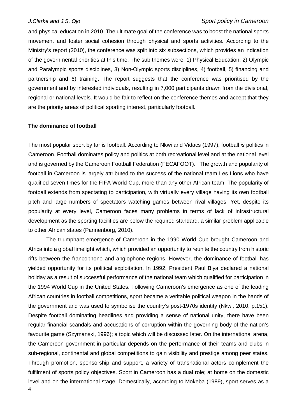and physical education in 2010. The ultimate goal of the conference was to boost the national sports movement and foster social cohesion through physical and sports activities. According to the Ministry's report (2010), the conference was split into six subsections, which provides an indication of the governmental priorities at this time. The sub themes were; 1) Physical Education, 2) Olympic and Paralympic sports disciplines, 3) Non-Olympic sports disciplines, 4) football, 5) financing and partnership and 6) training. The report suggests that the conference was prioritised by the government and by interested individuals, resulting in 7,000 participants drawn from the divisional, regional or national levels. It would be fair to reflect on the conference themes and accept that they are the priority areas of political sporting interest, particularly football.

### **The dominance of football**

The most popular sport by far is football. According to Nkwi and Vidacs (1997), football *is* politics in Cameroon. Football dominates policy and politics at both recreational level and at the national level and is governed by the Cameroon Football Federation (FECAFOOT). The growth and popularity of football in Cameroon is largely attributed to the success of the national team Les Lions who have qualified seven times for the FIFA World Cup, more than any other African team. The popularity of football extends from spectating to participation, with virtually every village having its own football pitch and large numbers of spectators watching games between rival villages. Yet, despite its popularity at every level, Cameroon faces many problems in terms of lack of infrastructural development as the sporting facilities are below the required standard, a similar problem applicable to other African states (Pannenborg, 2010).

4 The triumphant emergence of Cameroon in the 1990 World Cup brought Cameroon and Africa into a global limelight which, which provided an opportunity to reunite the country from historic rifts between the francophone and anglophone regions. However, the dominance of football has yielded opportunity for its political exploitation. In 1992, President Paul Biya declared a national holiday as a result of successful performance of the national team which qualified for participation in the 1994 World Cup in the United States. Following Cameroon's emergence as one of the leading African countries in football competitions, sport became a veritable political weapon in the hands of the government and was used to symbolise the country's post-1970s identity (Nkwi, 2010, p.151). Despite football dominating headlines and providing a sense of national unity, there have been regular financial scandals and accusations of corruption within the governing body of the nation's favourite game (Szymanski, 1996); a topic which will be discussed later. On the international arena, the Cameroon government in particular depends on the performance of their teams and clubs in sub-regional, continental and global competitions to gain visibility and prestige among peer states. Through promotion, sponsorship and support, a variety of transnational actors complement the fulfilment of sports policy objectives. Sport in Cameroon has a dual role; at home on the domestic level and on the international stage. Domestically, according to Mokeba (1989), sport serves as a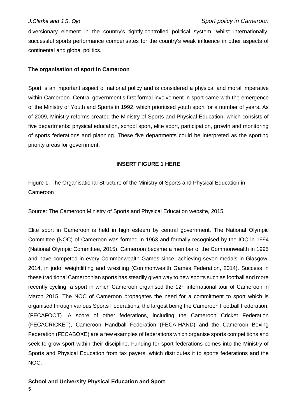diversionary element in the country's tightly-controlled political system, whilst internationally, successful sports performance compensates for the country's weak influence in other aspects of continental and global politics.

### **The organisation of sport in Cameroon**

Sport is an important aspect of national policy and is considered a physical and moral imperative within Cameroon. Central government's first formal involvement in sport came with the emergence of the Ministry of Youth and Sports in 1992, which prioritised youth sport for a number of years. As of 2009, Ministry reforms created the Ministry of Sports and Physical Education, which consists of five departments: physical education, school sport, elite sport, participation, growth and monitoring of sports federations and planning. These five departments could be interpreted as the sporting priority areas for government.

### **INSERT FIGURE 1 HERE**

Figure 1. The Organisational Structure of the Ministry of Sports and Physical Education in Cameroon

Source: The Cameroon Ministry of Sports and Physical Education website, 2015.

Elite sport in Cameroon is held in high esteem by central government. The National Olympic Committee (NOC) of Cameroon was formed in 1963 and formally recognised by the IOC in 1994 (National Olympic Committee, 2015). Cameroon became a member of the Commonwealth in 1995 and have competed in every Commonwealth Games since, achieving seven medals in Glasgow, 2014, in judo, weightlifting and wrestling (Commonwealth Games Federation, 2014). Success in these traditional Cameroonian sports has steadily given way to new sports such as football and more recently cycling, a sport in which Cameroon organised the 12<sup>th</sup> international tour of Cameroon in March 2015. The NOC of Cameroon propagates the need for a commitment to sport which is organised through various Sports Federations, the largest being the Cameroon Football Federation, (FECAFOOT). A score of other federations, including the Cameroon Cricket Federation (FECACRICKET), Cameroon Handball Federation (FECA-HAND) and the Cameroon Boxing Federation (FECABOXE) are a few examples of federations which organise sports competitions and seek to grow sport within their discipline. Funding for sport federations comes into the Ministry of Sports and Physical Education from tax payers, which distributes it to sports federations and the NOC.

**School and University Physical Education and Sport**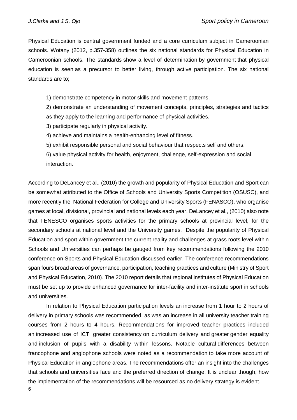Physical Education is central government funded and a core curriculum subject in Cameroonian schools. Wotany (2012, p.357-358) outlines the six national standards for Physical Education in Cameroonian schools. The standards show a level of determination by government that physical education is seen as a precursor to better living, through active participation. The six national standards are to;

1) demonstrate competency in motor skills and movement patterns.

2) demonstrate an understanding of movement concepts, principles, strategies and tactics as they apply to the learning and performance of physical activities.

3) participate regularly in physical activity.

4) achieve and maintains a health-enhancing level of fitness.

5) exhibit responsible personal and social behaviour that respects self and others.

6) value physical activity for health, enjoyment, challenge, self-expression and social interaction.

According to DeLancey et al., (2010) the growth and popularity of Physical Education and Sport can be somewhat attributed to the Office of Schools and University Sports Competition (OSUSC), and more recently the National Federation for College and University Sports (FENASCO), who organise games at local, divisional, provincial and national levels each year. DeLancey et al., (2010) also note that FENESCO organises sports activities for the primary schools at provincial level, for the secondary schools at national level and the University games. Despite the popularity of Physical Education and sport within government the current reality and challenges at grass roots level within Schools and Universities can perhaps be gauged from key recommendations following the 2010 conference on Sports and Physical Education discussed earlier. The conference recommendations span fours broad areas of governance, participation, teaching practices and culture (Ministry of Sport and Physical Education, 2010). The 2010 report details that regional institutes of Physical Education must be set up to provide enhanced governance for inter-facility and inter-institute sport in schools and universities.

6 In relation to Physical Education participation levels an increase from 1 hour to 2 hours of delivery in primary schools was recommended, as was an increase in all university teacher training courses from 2 hours to 4 hours. Recommendations for improved teacher practices included an increased use of ICT, greater consistency on curriculum delivery and greater gender equality and inclusion of pupils with a disability within lessons. Notable cultural differences between francophone and anglophone schools were noted as a recommendation to take more account of Physical Education in anglophone areas. The recommendations offer an insight into the challenges that schools and universities face and the preferred direction of change. It is unclear though, how the implementation of the recommendations will be resourced as no delivery strategy is evident.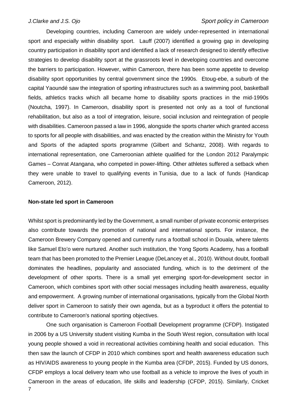Developing countries, including Cameroon are widely under-represented in international sport and especially within disability sport. Lauff (2007) identified a growing gap in developing country participation in disability sport and identified a lack of research designed to identify effective strategies to develop disability sport at the grassroots level in developing countries and overcome the barriers to participation. However, within Cameroon, there has been some appetite to develop disability sport opportunities by central government since the 1990s. Etoug-ebe, a suburb of the capital Yaoundé saw the integration of sporting infrastructures such as a swimming pool, basketball fields, athletics tracks which all became home to disability sports practices in the mid-1990s (Noutcha, 1997). In Cameroon, disability sport is presented not only as a tool of functional rehabilitation, but also as a tool of integration, leisure, social inclusion and reintegration of people with disabilities. Cameroon passed a law in 1996, alongside the sports charter which granted access to sports for all people with disabilities, and was enacted by the creation within the Ministry for Youth and Sports of the adapted sports programme (Gilbert and Schantz, 2008). With regards to international representation, one Cameroonian athlete qualified for the London 2012 Paralympic Games – Conrat Atangana, who competed in [power-lifting.](http://en.wikipedia.org/wiki/Powerlifting) Other athletes suffered a setback when they were unable to travel to qualifying events in [Tunisia,](http://en.wikipedia.org/wiki/Tunisia) due to a lack of funds (Handicap Cameroon, 2012).

### **Non-state led sport in Cameroon**

Whilst sport is predominantly led by the Government, a small number of private economic enterprises also contribute towards the promotion of national and international sports. For instance, the Cameroon Brewery Company opened and currently runs a football school in Douala, where talents like Samuel Eto'o were nurtured. Another such institution, the Yong Sports Academy, has a football team that has been promoted to the Premier League (DeLancey et al., 2010). Without doubt, football dominates the headlines, popularity and associated funding, which is to the detriment of the development of other sports. There is a small yet emerging sport-for-development sector in Cameroon, which combines sport with other social messages including health awareness, equality and empowerment. A growing number of international organisations, typically from the Global North deliver sport in Cameroon to satisfy their own agenda, but as a byproduct it offers the potential to contribute to Cameroon's national sporting objectives.

7 One such organisation is Cameroon Football Development programme (CFDP). Instigated in 2006 by a US University student visiting Kumba in the South West region, consultation with local young people showed a void in recreational activities combining health and social education. This then saw the launch of CFDP in 2010 which combines sport and health awareness education such as HIV/AIDS awareness to young people in the Kumba area (CFDP, 2015). Funded by US donors, CFDP employs a local delivery team who use football as a vehicle to improve the lives of youth in Cameroon in the areas of education, life skills and leadership (CFDP, 2015). Similarly, Cricket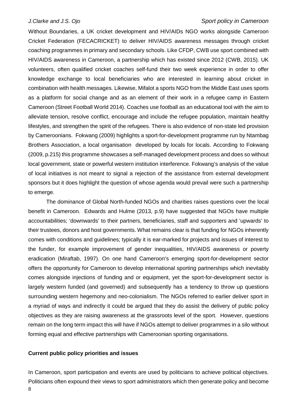Without Boundaries, a UK cricket development and HIV/AIDs NGO works alongside Cameroon Cricket Federation (FECACRICKET) to deliver HIV/AIDS awareness messages through cricket coaching programmes in primary and secondary schools. Like CFDP, CWB use sport combined with HIV/AIDS awareness in Cameroon, a partnership which has existed since 2012 (CWB, 2015). UK volunteers, often qualified cricket coaches self-fund their two week experience in order to offer knowledge exchange to local beneficiaries who are interested in learning about cricket in combination with health messages. Likewise, Mifalot a sports NGO from the Middle East uses sports as a platform for social change and as an element of their work in a refugee camp in Eastern Cameroon (Street Football World 2014). Coaches use football as an educational tool with the aim to alleviate tension, resolve conflict, encourage and include the refugee population, maintain healthy lifestyles, and strengthen the spirit of the refugees. There is also evidence of non-state led provision by Cameroonians. Fokwang (2009) highlights a sport-for-development programme run by Ntambag Brothers Association, a local organisation developed by locals for locals. According to Fokwang (2009, p.215) this programme showcases a self-managed development process and does so without local government, state or powerful western institution interference. Fokwang's analysis of the value of local initiatives is not meant to signal a rejection of the assistance from external development sponsors but it does highlight the question of whose agenda would prevail were such a partnership to emerge.

The dominance of Global North-funded NGOs and charities raises questions over the local benefit in Cameroon. Edwards and Hulme (2013, p.9) have suggested that NGOs have multiple accountabilities; 'downwards' to their partners, beneficiaries, staff and supporters and 'upwards' to their trustees, donors and host governments. What remains clear is that funding for NGOs inherently comes with conditions and guidelines; typically it is ear-marked for projects and issues of interest to the funder, for example improvement of gender inequalities, HIV/AIDS awareness or poverty eradication (Miraftab, 1997). On one hand Cameroon's emerging sport-for-development sector offers the opportunity for Cameroon to develop international sporting partnerships which inevitably comes alongside injections of funding and or equipment, yet the sport-for-development sector is largely western funded (and governed) and subsequently has a tendency to throw up questions surrounding western hegemony and neo-colonialism. The NGOs referred to earlier deliver sport in a myriad of ways and indirectly it could be argued that they do assist the delivery of public policy objectives as they are raising awareness at the grassroots level of the sport. However, questions remain on the long term impact this will have if NGOs attempt to deliver programmes in a silo without forming equal and effective partnerships with Cameroonian sporting organisations.

### **Current public policy priorities and issues**

8 In Cameroon, sport participation and events are used by politicians to achieve political objectives. Politicians often expound their views to sport administrators which then generate policy and become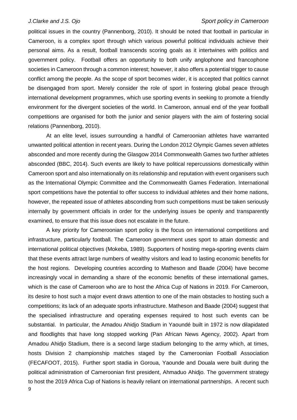political issues in the country (Pannenborg, 2010). It should be noted that football in particular in Cameroon, is a complex sport through which various powerful political individuals achieve their personal aims. As a result, football transcends scoring goals as it intertwines with politics and government policy. Football offers an opportunity to both unify anglophone and francophone societies in Cameroon through a common interest; however, it also offers a potential trigger to cause conflict among the people. As the scope of sport becomes wider, it is accepted that politics cannot be disengaged from sport. Merely consider the role of sport in fostering global peace through international development programmes, which use sporting events in seeking to promote a friendly environment for the divergent societies of the world. In Cameroon, annual end of the year football competitions are organised for both the junior and senior players with the aim of fostering social relations (Pannenborg, 2010).

At an elite level, issues surrounding a handful of Cameroonian athletes have warranted unwanted political attention in recent years. During the London 2012 Olympic Games seven athletes absconded and more recently during the Glasgow 2014 Commonwealth Games two further athletes absconded (BBC, 2014). Such events are likely to have political repercussions domestically within Cameroon sport and also internationally on its relationship and reputation with event organisers such as the International Olympic Committee and the Commonwealth Games Federation. International sport competitions have the potential to offer success to individual athletes and their home nations, however, the repeated issue of athletes absconding from such competitions must be taken seriously internally by government officials in order for the underlying issues be openly and transparently examined, to ensure that this issue does not escalate in the future.

9 A key priority for Cameroonian sport policy is the focus on international competitions and infrastructure, particularly football. The Cameroon government uses sport to attain domestic and international political objectives (Mokeba, 1989). Supporters of hosting mega-sporting events claim that these events attract large numbers of wealthy visitors and lead to lasting economic benefits for the host regions. Developing countries according to Matheson and Baade (2004) have become increasingly vocal in demanding a share of the economic benefits of these international games, which is the case of Cameroon who are to host the Africa Cup of Nations in 2019. For Cameroon, its desire to host such a major event draws attention to one of the main obstacles to hosting such a competitions; its lack of an adequate sports infrastructure. Matheson and Baade (2004) suggest that the specialised infrastructure and operating expenses required to host such events can be substantial. In particular, the Amadou Ahidjo Stadium in Yaoundé built in 1972 is now dilapidated and floodlights that have long stopped working (Pan African News Agency, 2002). Apart from Amadou Ahidjo Stadium, there is a second large stadium belonging to the army which, at times, hosts Division 2 championship matches staged by the Cameroonian Football Association (FECAFOOT, 2015). Further sport stadia in Goroua, Yaounde and Douala were built during the political administration of Cameroonian first president, Ahmaduo Ahidjo. The government strategy to host the 2019 Africa Cup of Nations is heavily reliant on international partnerships. A recent such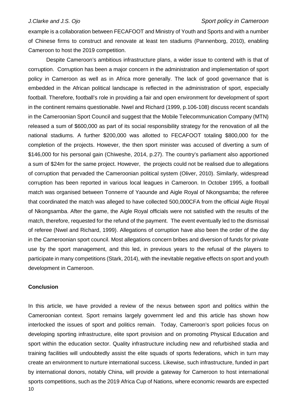example is a collaboration between FECAFOOT and Ministry of Youth and Sports and with a number of Chinese firms to construct and renovate at least ten stadiums (Pannenborg, 2010), enabling Cameroon to host the 2019 competition.

Despite Cameroon's ambitious infrastructure plans, a wider issue to contend with is that of corruption. Corruption has been a major concern in the administration and implementation of sport policy in Cameroon as well as in Africa more generally. The lack of good governance that is embedded in the African political landscape is reflected in the administration of sport, especially football. Therefore, football's role in providing a fair and open environment for development of sport in the continent remains questionable. Nwel and Richard (1999, p.106-108) discuss recent scandals in the Cameroonian Sport Council and suggest that the Mobile Telecommunication Company (MTN) released a sum of \$600,000 as part of its social responsibility strategy for the renovation of all the national stadiums. A further \$200,000 was allotted to FECAFOOT totaling \$800,000 for the completion of the projects. However, the then sport minister was accused of diverting a sum of \$146,000 for his personal gain (Chiweshe, 2014, p.27). The country's parliament also apportioned a sum of \$24m for the same project. However, the projects could not be realised due to allegations of corruption that pervaded the Cameroonian political system (Oliver, 2010). Similarly, widespread corruption has been reported in various local leagues in Cameroon. In October 1995, a football match was organised between Tonnerre of Yaounde and Aigle Royal of Nkongsamba; the referee that coordinated the match was alleged to have collected 500,000CFA from the official Aigle Royal of Nkongsamba. After the game, the Aigle Royal officials were not satisfied with the results of the match, therefore, requested for the refund of the payment. The event eventually led to the dismissal of referee (Nwel and Richard, 1999). Allegations of corruption have also been the order of the day in the Cameroonian sport council. Most allegations concern bribes and diversion of funds for private use by the sport management, and this led, in previous years to the refusal of the players to participate in many competitions (Stark, 2014), with the inevitable negative effects on sport and youth development in Cameroon.

### **Conclusion**

10 In this article, we have provided a review of the nexus between sport and politics within the Cameroonian context. Sport remains largely government led and this article has shown how interlocked the issues of sport and politics remain. Today, Cameroon's sport policies focus on developing sporting infrastructure, elite sport provision and on promoting Physical Education and sport within the education sector. Quality infrastructure including new and refurbished stadia and training facilities will undoubtedly assist the elite squads of sports federations, which in turn may create an environment to nurture international success. Likewise, such infrastructure, funded in part by international donors, notably China, will provide a gateway for Cameroon to host international sports competitions, such as the 2019 Africa Cup of Nations, where economic rewards are expected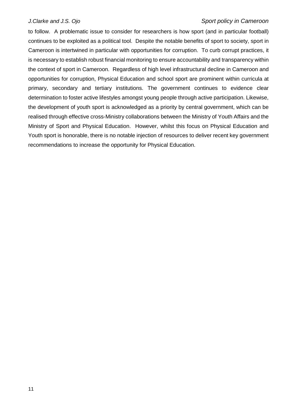to follow. A problematic issue to consider for researchers is how sport (and in particular football) continues to be exploited as a political tool. Despite the notable benefits of sport to society, sport in Cameroon is intertwined in particular with opportunities for corruption. To curb corrupt practices, it is necessary to establish robust financial monitoring to ensure accountability and transparency within the context of sport in Cameroon. Regardless of high level infrastructural decline in Cameroon and opportunities for corruption, Physical Education and school sport are prominent within curricula at primary, secondary and tertiary institutions. The government continues to evidence clear determination to foster active lifestyles amongst young people through active participation. Likewise, the development of youth sport is acknowledged as a priority by central government, which can be realised through effective cross-Ministry collaborations between the Ministry of Youth Affairs and the Ministry of Sport and Physical Education. However, whilst this focus on Physical Education and Youth sport is honorable, there is no notable injection of resources to deliver recent key government recommendations to increase the opportunity for Physical Education.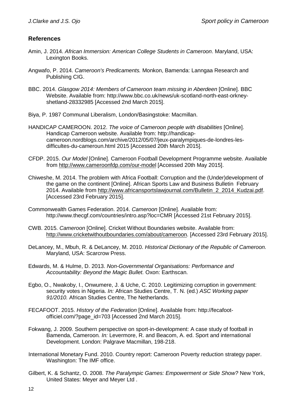# **References**

- Amin, J. 2014. *African Immersion: American College Students in Cameroon*. Maryland, USA: Lexington Books.
- Angwafo, P. 2014. *Cameroon's Predicaments.* Monkon, Bamenda: Lanngaa Research and Publishing CIG.
- BBC. 2014. *Glasgow 2014: Members of Cameroon team missing in Aberdeen* [Online]. BBC Website. Available from: http://www.bbc.co.uk/news/uk-scotland-north-east-orkneyshetland-28332985 [Accessed 2nd March 2015].
- Biya, P. 1987 Communal Liberalism, London/Basingstoke: Macmillan.
- HANDICAP CAMEROON. 2012. *The voice of Cameroon people with disabilities* [Online]. Handicap Cameroon website. Available from: http://handicapcameroon.nordblogs.com/archive/2012/05/07/jeux-paralympiques-de-londres-lesdifficultes-du-cameroun.html 2015 [Accessed 20th March 2015].
- CFDP. 2015. *Our Model* [Online]. Cameroon Football Development Programme website. Available from <http://www.cameroonfdp.com/our-model> [Accessed 20th May 2015].
- Chiweshe, M. 2014. The problem with Africa Football: Corruption and the (Under)development of the game on the continent [Online]. African Sports Law and Business Bulletin February 2014. Available from [http://www.africansportslawjournal.com/Bulletin\\_2\\_2014\\_Kudzai.pdf.](http://www.africansportslawjournal.com/Bulletin_2_2014_Kudzai.pdf) [Accessed 23rd February 2015].
- Commonwealth Games Federation. 2014. *Cameroon* [Online]. Available from: http://www.thecgf.com/countries/intro.asp?loc=CMR [Accessed 21st February 2015].
- CWB. 2015. *Cameroon* [Online]. Cricket Without Boundaries website. Available from: [http://www.cricketwithoutboundaries.com/about/cameroon.](http://www.cricketwithoutboundaries.com/about/cameroon) [Accessed 23rd February 2015].
- DeLancey, M., Mbuh, R. & DeLancey, M. 2010. *Historical Dictionary of the Republic of Cameroon.* Maryland, USA: Scarcrow Press.
- Edwards, M. & Hulme, D. 2013. *Non-Governmental Organisations: Performance and Accountability: Beyond the Magic Bullet.* Oxon: Earthscan.
- Egbo, O., Nwakoby, I., Onwumere, J. & Uche, C. 2010. Legitimizing corruption in government: security votes in Nigeria. *In:* African Studies Centre, T. N. (ed.) *ASC Working paper 91/2010.* African Studies Centre, The Netherlands.
- FECAFOOT. 2015. *History of the Federation* [Online]. Available from: http://fecafootofficiel.com/?page\_id=703 [Accessed 2nd March 2015].
- Fokwang, J. 2009. Southern perspective on sport-in-development: A case study of football in Bamenda, Cameroon*. In:* Levermore, R. and Beacom, A. ed. Sport and international Development. London: Palgrave Macmillan, 198-218.
- International Monetary Fund. 2010. Country report: Cameroon Poverty reduction strategy paper. Washington: The IMF office.
- Gilbert, K. & Schantz, O. 2008. *The Paralympic Games: Empowerment or Side Show?* New York, United States: Meyer and Meyer Ltd .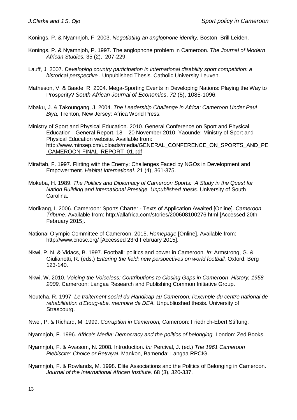Konings, P. & Nyamnjoh, F. 2003. *Negotiating an anglophone identity,* Boston: Brill Leiden.

- Konings, P. & Nyamnjoh, P. 1997. The anglophone problem in Cameroon. *The Journal of Modern African Studies,* 35 (2), 207-229.
- Lauff, J. 2007. *Developing country participation in international disability sport competition: a historical perspective* . Unpublished Thesis. Catholic University Leuven.
- Matheson, V. & Baade, R. 2004. Mega-Sporting Events in Developing Nations: Playing the Way to Prosperity? *South African Journal of Economics*, *72* (5), 1085-1096.
- Mbaku, J. & Takoungang, J. 2004. *The Leadership Challenge in Africa: Cameroon Under Paul Biya,* Trenton, New Jersey: Africa World Press.

Ministry of Sport and Physical Education. 2010. General Conference on Sport and Physical Education - General Report. 18 – 20 November 2010, Yaounde: Ministry of Sport and Physical Education website. Available from: [http://www.minsep.cm/uploads/media/GENERAL\\_CONFERENCE\\_ON\\_SPORTS\\_AND\\_PE](http://www.minsep.cm/uploads/media/GENERAL_CONFERENCE_ON_SPORTS_AND_PE-CAMEROON-FINAL_REPORT_01.pdf) [-CAMEROON-FINAL\\_REPORT\\_01.pdf](http://www.minsep.cm/uploads/media/GENERAL_CONFERENCE_ON_SPORTS_AND_PE-CAMEROON-FINAL_REPORT_01.pdf)

- Miraftab, F. 1997. Flirting with the Enemy: Challenges Faced by NGOs in Development and Empowerment. *Habitat International.* 21 (4), 361-375.
- Mokeba, H. 1989. *The Politics and Diplomacy of Cameroon Sports: A Study in the Quest for Nation Building and International Prestige. Unpublished thesis.* University of South Carolina.
- Morikang, I. 2006. Cameroon: Sports Charter Texts of Application Awaited [Online]. *Cameroon Tribune*. Available from: http://allafrica.com/stories/200608100276.html [Accessed 20th February 2015].
- National Olympic Committee of Cameroon. 2015. *Homepage* [Online]. Available from: http://www.cnosc.org/ [Accessed 23rd February 2015].
- Nkwi, P. N. & Vidacs, B. 1997. Football: politics and power in Cameroon. *In:* Armstrong, G. & Giulianotti, R. (eds.) *Entering the field: new perspectives on world football.* Oxford: Berg 123-140.
- Nkwi, W. 2010. *Voicing the Voiceless: Contributions to Closing Gaps in Cameroon History, 1958- 2009,* Cameroon: Langaa Research and Publishing Common Initiative Group.
- Noutcha, R. 1997. *Le traitement social du Handicap au Cameroon: l'exemple du centre national de rehabilitation d'Etoug-ebe, memoire de DEA.* Unpubliushed thesis. University of Strasbourg.
- Nwel, P. & Richard, M. 1999. *Corruption in Cameroon,* Cameroon: Friedrich-Ebert Stiftung.
- Nyamnjoh, F. 1996. *Africa's Media: Democracy and the politics of belonging,* London: Zed Books.
- Nyamnjoh, F. & Awasom, N. 2008. Introduction. *In:* Percival, J. (ed.) *The 1961 Cameroon Plebiscite: Choice or Betrayal.* Mankon, Bamenda: Langaa RPCIG.
- Nyamnjoh, F. & Rowlands, M. 1998. Elite Associations and the Politics of Belonging in Cameroon. *Journal of the International African Institute,* 68 (3), 320-337.